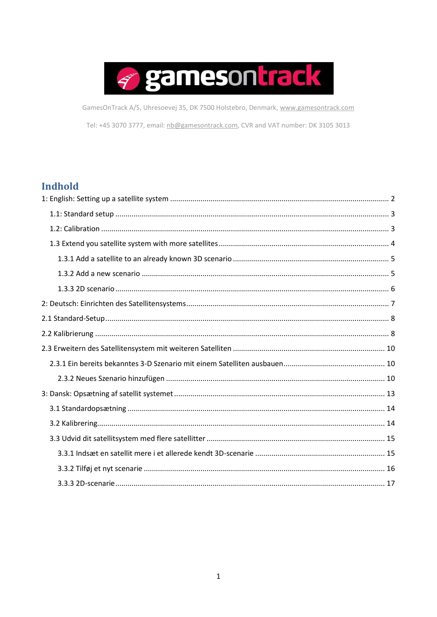

GamesOnTrack A/S, Uhresoevej 35, DK 7500 Holstebro, Denmark, www.gamesontrack.com

Tel: +45 3070 3777, email: nb@gamesontrack.com, CVR and VAT number: DK 3105 3013

# Indhold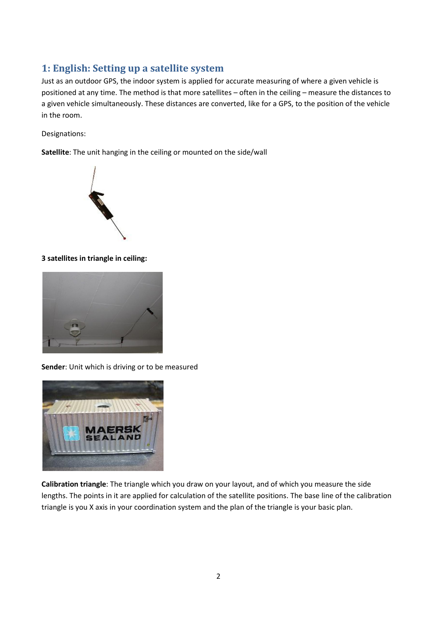# <span id="page-1-0"></span>**1: English: Setting up a satellite system**

Just as an outdoor GPS, the indoor system is applied for accurate measuring of where a given vehicle is positioned at any time. The method is that more satellites – often in the ceiling – measure the distances to a given vehicle simultaneously. These distances are converted, like for a GPS, to the position of the vehicle in the room.

Designations:

**Satellite**: The unit hanging in the ceiling or mounted on the side/wall



## **3 satellites in triangle in ceiling:**



**Sender**: Unit which is driving or to be measured



**Calibration triangle**: The triangle which you draw on your layout, and of which you measure the side lengths. The points in it are applied for calculation of the satellite positions. The base line of the calibration triangle is you X axis in your coordination system and the plan of the triangle is your basic plan.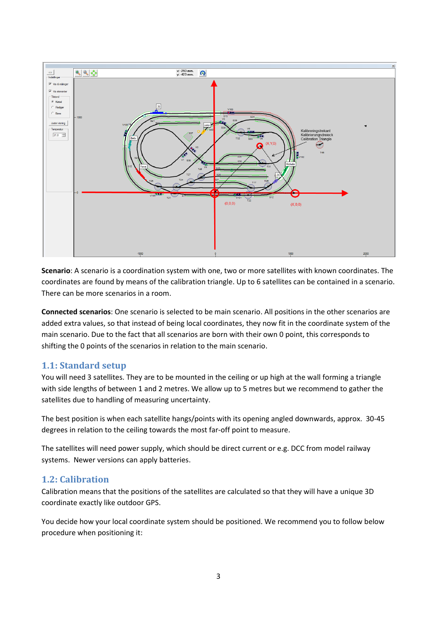

**Scenario**: A scenario is a coordination system with one, two or more satellites with known coordinates. The coordinates are found by means of the calibration triangle. Up to 6 satellites can be contained in a scenario. There can be more scenarios in a room.

**Connected scenarios**: One scenario is selected to be main scenario. All positions in the other scenarios are added extra values, so that instead of being local coordinates, they now fit in the coordinate system of the main scenario. Due to the fact that all scenarios are born with their own 0 point, this corresponds to shifting the 0 points of the scenarios in relation to the main scenario.

# <span id="page-2-0"></span>**1.1: Standard setup**

You will need 3 satellites. They are to be mounted in the ceiling or up high at the wall forming a triangle with side lengths of between 1 and 2 metres. We allow up to 5 metres but we recommend to gather the satellites due to handling of measuring uncertainty.

The best position is when each satellite hangs/points with its opening angled downwards, approx. 30-45 degrees in relation to the ceiling towards the most far-off point to measure.

The satellites will need power supply, which should be direct current or e.g. DCC from model railway systems. Newer versions can apply batteries.

## <span id="page-2-1"></span>**1.2: Calibration**

Calibration means that the positions of the satellites are calculated so that they will have a unique 3D coordinate exactly like outdoor GPS.

You decide how your local coordinate system should be positioned. We recommend you to follow below procedure when positioning it: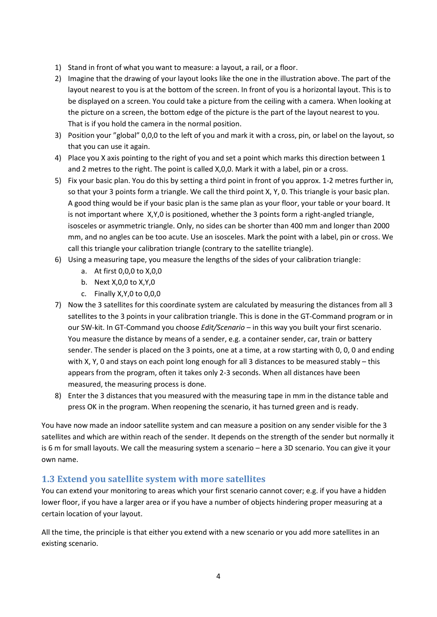- 1) Stand in front of what you want to measure: a layout, a rail, or a floor.
- 2) Imagine that the drawing of your layout looks like the one in the illustration above. The part of the layout nearest to you is at the bottom of the screen. In front of you is a horizontal layout. This is to be displayed on a screen. You could take a picture from the ceiling with a camera. When looking at the picture on a screen, the bottom edge of the picture is the part of the layout nearest to you. That is if you hold the camera in the normal position.
- 3) Position your "global" 0,0,0 to the left of you and mark it with a cross, pin, or label on the layout, so that you can use it again.
- 4) Place you X axis pointing to the right of you and set a point which marks this direction between 1 and 2 metres to the right. The point is called X,0,0. Mark it with a label, pin or a cross.
- 5) Fix your basic plan. You do this by setting a third point in front of you approx. 1-2 metres further in, so that your 3 points form a triangle. We call the third point X, Y, 0. This triangle is your basic plan. A good thing would be if your basic plan is the same plan as your floor, your table or your board. It is not important where X,Y,0 is positioned, whether the 3 points form a right-angled triangle, isosceles or asymmetric triangle. Only, no sides can be shorter than 400 mm and longer than 2000 mm, and no angles can be too acute. Use an isosceles. Mark the point with a label, pin or cross. We call this triangle your calibration triangle (contrary to the satellite triangle).
- 6) Using a measuring tape, you measure the lengths of the sides of your calibration triangle:
	- a. At first 0,0,0 to X,0,0
	- b. Next X,0,0 to X,Y,0
	- c. Finally X,Y,0 to 0,0,0
- 7) Now the 3 satellites for this coordinate system are calculated by measuring the distances from all 3 satellites to the 3 points in your calibration triangle. This is done in the GT-Command program or in our SW-kit. In GT-Command you choose *Edit/Scenario* – in this way you built your first scenario. You measure the distance by means of a sender, e.g. a container sender, car, train or battery sender. The sender is placed on the 3 points, one at a time, at a row starting with 0, 0, 0 and ending with X, Y, O and stays on each point long enough for all 3 distances to be measured stably – this appears from the program, often it takes only 2-3 seconds. When all distances have been measured, the measuring process is done.
- 8) Enter the 3 distances that you measured with the measuring tape in mm in the distance table and press OK in the program. When reopening the scenario, it has turned green and is ready.

You have now made an indoor satellite system and can measure a position on any sender visible for the 3 satellites and which are within reach of the sender. It depends on the strength of the sender but normally it is 6 m for small layouts. We call the measuring system a scenario – here a 3D scenario. You can give it your own name.

## <span id="page-3-0"></span>**1.3 Extend you satellite system with more satellites**

You can extend your monitoring to areas which your first scenario cannot cover; e.g. if you have a hidden lower floor, if you have a larger area or if you have a number of objects hindering proper measuring at a certain location of your layout.

All the time, the principle is that either you extend with a new scenario or you add more satellites in an existing scenario.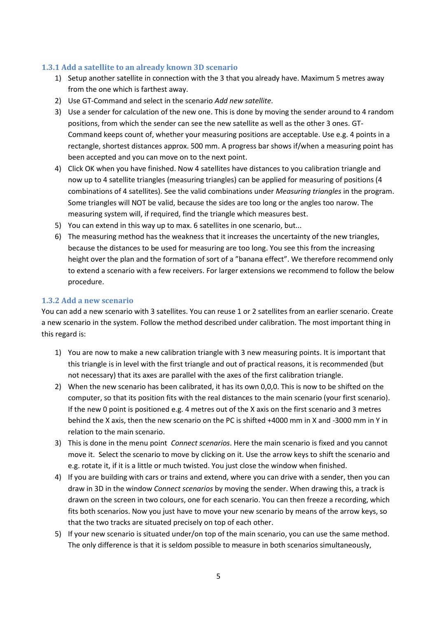### <span id="page-4-0"></span>**1.3.1 Add a satellite to an already known 3D scenario**

- 1) Setup another satellite in connection with the 3 that you already have. Maximum 5 metres away from the one which is farthest away.
- 2) Use GT-Command and select in the scenario *Add new satellite*.
- 3) Use a sender for calculation of the new one. This is done by moving the sender around to 4 random positions, from which the sender can see the new satellite as well as the other 3 ones. GT-Command keeps count of, whether your measuring positions are acceptable. Use e.g. 4 points in a rectangle, shortest distances approx. 500 mm. A progress bar shows if/when a measuring point has been accepted and you can move on to the next point.
- 4) Click OK when you have finished. Now 4 satellites have distances to you calibration triangle and now up to 4 satellite triangles (measuring triangles) can be applied for measuring of positions (4 combinations of 4 satellites). See the valid combinations under *Measuring triangles* in the program. Some triangles will NOT be valid, because the sides are too long or the angles too narow. The measuring system will, if required, find the triangle which measures best.
- 5) You can extend in this way up to max. 6 satellites in one scenario, but...
- 6) The measuring method has the weakness that it increases the uncertainty of the new triangles, because the distances to be used for measuring are too long. You see this from the increasing height over the plan and the formation of sort of a "banana effect". We therefore recommend only to extend a scenario with a few receivers. For larger extensions we recommend to follow the below procedure.

### <span id="page-4-1"></span>**1.3.2 Add a new scenario**

You can add a new scenario with 3 satellites. You can reuse 1 or 2 satellites from an earlier scenario. Create a new scenario in the system. Follow the method described under calibration. The most important thing in this regard is:

- 1) You are now to make a new calibration triangle with 3 new measuring points. It is important that this triangle is in level with the first triangle and out of practical reasons, it is recommended (but not necessary) that its axes are parallel with the axes of the first calibration triangle.
- 2) When the new scenario has been calibrated, it has its own 0,0,0. This is now to be shifted on the computer, so that its position fits with the real distances to the main scenario (your first scenario). If the new 0 point is positioned e.g. 4 metres out of the X axis on the first scenario and 3 metres behind the X axis, then the new scenario on the PC is shifted +4000 mm in X and -3000 mm in Y in relation to the main scenario.
- 3) This is done in the menu point *Connect scenarios*. Here the main scenario is fixed and you cannot move it. Select the scenario to move by clicking on it. Use the arrow keys to shift the scenario and e.g. rotate it, if it is a little or much twisted. You just close the window when finished.
- 4) If you are building with cars or trains and extend, where you can drive with a sender, then you can draw in 3D in the window *Connect scenarios* by moving the sender. When drawing this, a track is drawn on the screen in two colours, one for each scenario. You can then freeze a recording, which fits both scenarios. Now you just have to move your new scenario by means of the arrow keys, so that the two tracks are situated precisely on top of each other.
- 5) If your new scenario is situated under/on top of the main scenario, you can use the same method. The only difference is that it is seldom possible to measure in both scenarios simultaneously,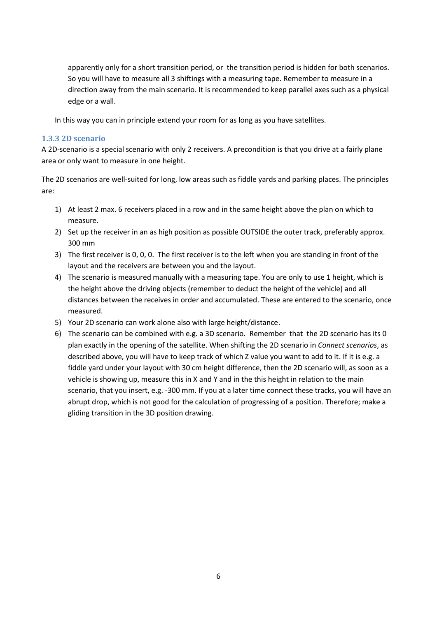apparently only for a short transition period, or the transition period is hidden for both scenarios. So you will have to measure all 3 shiftings with a measuring tape. Remember to measure in a direction away from the main scenario. It is recommended to keep parallel axes such as a physical edge or a wall.

In this way you can in principle extend your room for as long as you have satellites.

### <span id="page-5-0"></span>**1.3.3 2D scenario**

A 2D-scenario is a special scenario with only 2 receivers. A precondition is that you drive at a fairly plane area or only want to measure in one height.

The 2D scenarios are well-suited for long, low areas such as fiddle yards and parking places. The principles are:

- 1) At least 2 max. 6 receivers placed in a row and in the same height above the plan on which to measure.
- 2) Set up the receiver in an as high position as possible OUTSIDE the outer track, preferably approx. 300 mm
- 3) The first receiver is 0, 0, 0. The first receiver is to the left when you are standing in front of the layout and the receivers are between you and the layout.
- 4) The scenario is measured manually with a measuring tape. You are only to use 1 height, which is the height above the driving objects (remember to deduct the height of the vehicle) and all distances between the receives in order and accumulated. These are entered to the scenario, once measured.
- 5) Your 2D scenario can work alone also with large height/distance.
- 6) The scenario can be combined with e.g. a 3D scenario. Remember that the 2D scenario has its 0 plan exactly in the opening of the satellite. When shifting the 2D scenario in *Connect scenarios*, as described above, you will have to keep track of which Z value you want to add to it. If it is e.g. a fiddle yard under your layout with 30 cm height difference, then the 2D scenario will, as soon as a vehicle is showing up, measure this in X and Y and in the this height in relation to the main scenario, that you insert, e.g. -300 mm. If you at a later time connect these tracks, you will have an abrupt drop, which is not good for the calculation of progressing of a position. Therefore; make a gliding transition in the 3D position drawing.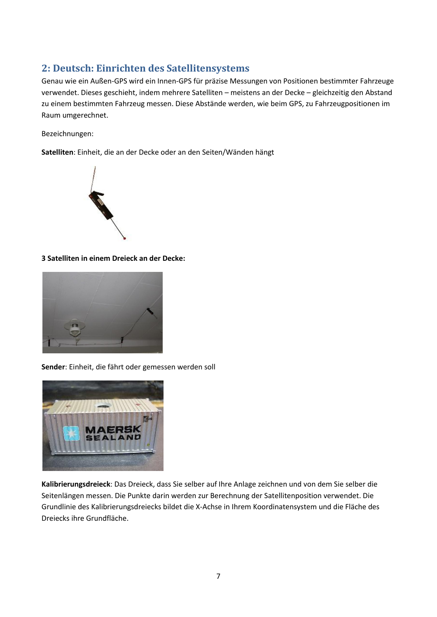# <span id="page-6-0"></span>**2: Deutsch: Einrichten des Satellitensystems**

Genau wie ein Außen-GPS wird ein Innen-GPS für präzise Messungen von Positionen bestimmter Fahrzeuge verwendet. Dieses geschieht, indem mehrere Satelliten – meistens an der Decke – gleichzeitig den Abstand zu einem bestimmten Fahrzeug messen. Diese Abstände werden, wie beim GPS, zu Fahrzeugpositionen im Raum umgerechnet.

### Bezeichnungen:

**Satelliten**: Einheit, die an der Decke oder an den Seiten/Wänden hängt



### **3 Satelliten in einem Dreieck an der Decke:**



**Sender**: Einheit, die fährt oder gemessen werden soll



**Kalibrierungsdreieck**: Das Dreieck, dass Sie selber auf Ihre Anlage zeichnen und von dem Sie selber die Seitenlängen messen. Die Punkte darin werden zur Berechnung der Satellitenposition verwendet. Die Grundlinie des Kalibrierungsdreiecks bildet die X-Achse in Ihrem Koordinatensystem und die Fläche des Dreiecks ihre Grundfläche.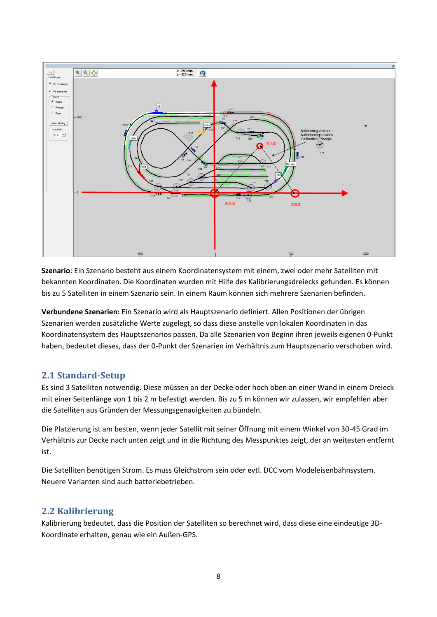

**Szenario**: Ein Szenario besteht aus einem Koordinatensystem mit einem, zwei oder mehr Satelliten mit bekannten Koordinaten. Die Koordinaten wurden mit Hilfe des Kalibrierungsdreiecks gefunden. Es können bis zu 5 Satelliten in einem Szenario sein. In einem Raum können sich mehrere Szenarien befinden.

**Verbundene Szenarien:** Ein Szenario wird als Hauptszenario definiert. Allen Positionen der übrigen Szenarien werden zusätzliche Werte zugelegt, so dass diese anstelle von lokalen Koordinaten in das Koordinatensystem des Hauptszenarios passen. Da alle Szenarien von Beginn ihren jeweils eigenen 0-Punkt haben, bedeutet dieses, dass der 0-Punkt der Szenarien im Verhältnis zum Hauptszenario verschoben wird.

# <span id="page-7-0"></span>**2.1 Standard-Setup**

Es sind 3 Satelliten notwendig. Diese müssen an der Decke oder hoch oben an einer Wand in einem Dreieck mit einer Seitenlänge von 1 bis 2 m befestigt werden. Bis zu 5 m können wir zulassen, wir empfehlen aber die Satelliten aus Gründen der Messungsgenauigkeiten zu bündeln.

Die Platzierung ist am besten, wenn jeder Satellit mit seiner Öffnung mit einem Winkel von 30-45 Grad im Verhältnis zur Decke nach unten zeigt und in die Richtung des Messpunktes zeigt, der an weitesten entfernt ist.

Die Satelliten benötigen Strom. Es muss Gleichstrom sein oder evtl. DCC vom Modeleisenbahnsystem. Neuere Varianten sind auch batteriebetrieben.

## <span id="page-7-1"></span>**2.2 Kalibrierung**

Kalibrierung bedeutet, dass die Position der Satelliten so berechnet wird, dass diese eine eindeutige 3D-Koordinate erhalten, genau wie ein Außen-GPS.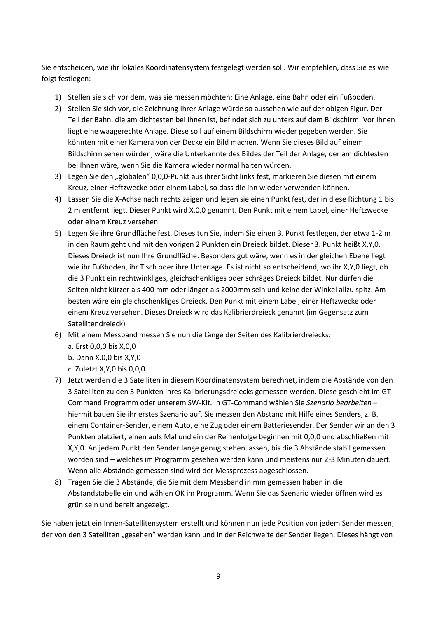Sie entscheiden, wie ihr lokales Koordinatensystem festgelegt werden soll. Wir empfehlen, dass Sie es wie folgt festlegen:

- 1) Stellen sie sich vor dem, was sie messen möchten: Eine Anlage, eine Bahn oder ein Fußboden.
- 2) Stellen Sie sich vor, die Zeichnung Ihrer Anlage würde so aussehen wie auf der obigen Figur. Der Teil der Bahn, die am dichtesten bei ihnen ist, befindet sich zu unters auf dem Bildschirm. Vor Ihnen liegt eine waagerechte Anlage. Diese soll auf einem Bildschirm wieder gegeben werden. Sie könnten mit einer Kamera von der Decke ein Bild machen. Wenn Sie dieses Bild auf einem Bildschirm sehen würden, wäre die Unterkannte des Bildes der Teil der Anlage, der am dichtesten bei Ihnen wäre, wenn Sie die Kamera wieder normal halten würden.
- 3) Legen Sie den "globalen" 0,0,0-Punkt aus ihrer Sicht links fest, markieren Sie diesen mit einem Kreuz, einer Heftzwecke oder einem Label, so dass die ihn wieder verwenden können.
- 4) Lassen Sie die X-Achse nach rechts zeigen und legen sie einen Punkt fest, der in diese Richtung 1 bis 2 m entfernt liegt. Dieser Punkt wird X,0,0 genannt. Den Punkt mit einem Label, einer Heftzwecke oder einem Kreuz versehen.
- 5) Legen Sie ihre Grundfläche fest. Dieses tun Sie, indem Sie einen 3. Punkt festlegen, der etwa 1-2 m in den Raum geht und mit den vorigen 2 Punkten ein Dreieck bildet. Dieser 3. Punkt heißt X,Y,0. Dieses Dreieck ist nun Ihre Grundfläche. Besonders gut wäre, wenn es in der gleichen Ebene liegt wie ihr Fußboden, ihr Tisch oder ihre Unterlage. Es ist nicht so entscheidend, wo ihr X,Y,0 liegt, ob die 3 Punkt ein rechtwinkliges, gleichschenkliges oder schräges Dreieck bildet. Nur dürfen die Seiten nicht kürzer als 400 mm oder länger als 2000mm sein und keine der Winkel allzu spitz. Am besten wäre ein gleichschenkliges Dreieck. Den Punkt mit einem Label, einer Heftzwecke oder einem Kreuz versehen. Dieses Dreieck wird das Kalibrierdreieck genannt (im Gegensatz zum Satellitendreieck)
- 6) Mit einem Messband messen Sie nun die Länge der Seiten des Kalibrierdreiecks:
	- a. Erst 0,0,0 bis X,0,0
	- b. Dann X,0,0 bis X,Y,0
	- c. Zuletzt X,Y,0 bis 0,0,0
- 7) Jetzt werden die 3 Satelliten in diesem Koordinatensystem berechnet, indem die Abstände von den 3 Satelliten zu den 3 Punkten ihres Kalibrierungsdreiecks gemessen werden. Diese geschieht im GT-Command Programm oder unserem SW-Kit. In GT-Command wählen Sie *Szenario bearbeiten* – hiermit bauen Sie ihr erstes Szenario auf. Sie messen den Abstand mit Hilfe eines Senders, z. B. einem Container-Sender, einem Auto, eine Zug oder einem Batteriesender. Der Sender wir an den 3 Punkten platziert, einen aufs Mal und ein der Reihenfolge beginnen mit 0,0,0 und abschließen mit X,Y,0. An jedem Punkt den Sender lange genug stehen lassen, bis die 3 Abstände stabil gemessen worden sind – welches im Programm gesehen werden kann und meistens nur 2-3 Minuten dauert. Wenn alle Abstände gemessen sind wird der Messprozess abgeschlossen.
- 8) Tragen Sie die 3 Abstände, die Sie mit dem Messband in mm gemessen haben in die Abstandstabelle ein und wählen OK im Programm. Wenn Sie das Szenario wieder öffnen wird es grün sein und bereit angezeigt.

Sie haben jetzt ein Innen-Satellitensystem erstellt und können nun jede Position von jedem Sender messen, der von den 3 Satelliten "gesehen" werden kann und in der Reichweite der Sender liegen. Dieses hängt von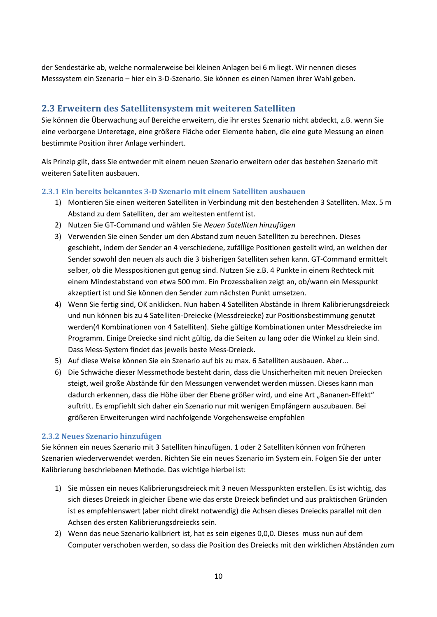der Sendestärke ab, welche normalerweise bei kleinen Anlagen bei 6 m liegt. Wir nennen dieses Messsystem ein Szenario – hier ein 3-D-Szenario. Sie können es einen Namen ihrer Wahl geben.

## <span id="page-9-0"></span>**2.3 Erweitern des Satellitensystem mit weiteren Satelliten**

Sie können die Überwachung auf Bereiche erweitern, die ihr erstes Szenario nicht abdeckt, z.B. wenn Sie eine verborgene Unteretage, eine größere Fläche oder Elemente haben, die eine gute Messung an einen bestimmte Position ihrer Anlage verhindert.

Als Prinzip gilt, dass Sie entweder mit einem neuen Szenario erweitern oder das bestehen Szenario mit weiteren Satelliten ausbauen.

### <span id="page-9-1"></span>**2.3.1 Ein bereits bekanntes 3-D Szenario mit einem Satelliten ausbauen**

- 1) Montieren Sie einen weiteren Satelliten in Verbindung mit den bestehenden 3 Satelliten. Max. 5 m Abstand zu dem Satelliten, der am weitesten entfernt ist.
- 2) Nutzen Sie GT-Command und wählen Sie *Neuen Satelliten hinzufügen*
- 3) Verwenden Sie einen Sender um den Abstand zum neuen Satelliten zu berechnen. Dieses geschieht, indem der Sender an 4 verschiedene, zufällige Positionen gestellt wird, an welchen der Sender sowohl den neuen als auch die 3 bisherigen Satelliten sehen kann. GT-Command ermittelt selber, ob die Messpositionen gut genug sind. Nutzen Sie z.B. 4 Punkte in einem Rechteck mit einem Mindestabstand von etwa 500 mm. Ein Prozessbalken zeigt an, ob/wann ein Messpunkt akzeptiert ist und Sie können den Sender zum nächsten Punkt umsetzen.
- 4) Wenn Sie fertig sind, OK anklicken. Nun haben 4 Satelliten Abstände in Ihrem Kalibrierungsdreieck und nun können bis zu 4 Satelliten-Dreiecke (Messdreiecke) zur Positionsbestimmung genutzt werden(4 Kombinationen von 4 Satelliten). Siehe gültige Kombinationen unter Messdreiecke im Programm. Einige Dreiecke sind nicht gültig, da die Seiten zu lang oder die Winkel zu klein sind. Dass Mess-System findet das jeweils beste Mess-Dreieck.
- 5) Auf diese Weise können Sie ein Szenario auf bis zu max. 6 Satelliten ausbauen. Aber...
- 6) Die Schwäche dieser Messmethode besteht darin, dass die Unsicherheiten mit neuen Dreiecken steigt, weil große Abstände für den Messungen verwendet werden müssen. Dieses kann man dadurch erkennen, dass die Höhe über der Ebene größer wird, und eine Art "Bananen-Effekt" auftritt. Es empfiehlt sich daher ein Szenario nur mit wenigen Empfängern auszubauen. Bei größeren Erweiterungen wird nachfolgende Vorgehensweise empfohlen

### <span id="page-9-2"></span>**2.3.2 Neues Szenario hinzufügen**

Sie können ein neues Szenario mit 3 Satelliten hinzufügen. 1 oder 2 Satelliten können von früheren Szenarien wiederverwendet werden. Richten Sie ein neues Szenario im System ein. Folgen Sie der unter Kalibrierung beschriebenen Methode. Das wichtige hierbei ist:

- 1) Sie müssen ein neues Kalibrierungsdreieck mit 3 neuen Messpunkten erstellen. Es ist wichtig, das sich dieses Dreieck in gleicher Ebene wie das erste Dreieck befindet und aus praktischen Gründen ist es empfehlenswert (aber nicht direkt notwendig) die Achsen dieses Dreiecks parallel mit den Achsen des ersten Kalibrierungsdreiecks sein.
- 2) Wenn das neue Szenario kalibriert ist, hat es sein eigenes 0,0,0. Dieses muss nun auf dem Computer verschoben werden, so dass die Position des Dreiecks mit den wirklichen Abständen zum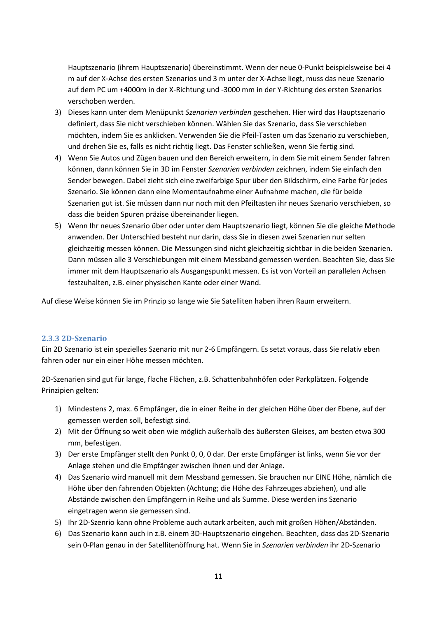Hauptszenario (ihrem Hauptszenario) übereinstimmt. Wenn der neue 0-Punkt beispielsweise bei 4 m auf der X-Achse des ersten Szenarios und 3 m unter der X-Achse liegt, muss das neue Szenario auf dem PC um +4000m in der X-Richtung und -3000 mm in der Y-Richtung des ersten Szenarios verschoben werden.

- 3) Dieses kann unter dem Menüpunkt *Szenarien verbinden* geschehen. Hier wird das Hauptszenario definiert, dass Sie nicht verschieben können. Wählen Sie das Szenario, dass Sie verschieben möchten, indem Sie es anklicken. Verwenden Sie die Pfeil-Tasten um das Szenario zu verschieben, und drehen Sie es, falls es nicht richtig liegt. Das Fenster schließen, wenn Sie fertig sind.
- 4) Wenn Sie Autos und Zügen bauen und den Bereich erweitern, in dem Sie mit einem Sender fahren können, dann können Sie in 3D im Fenster *Szenarien verbinden* zeichnen, indem Sie einfach den Sender bewegen. Dabei zieht sich eine zweifarbige Spur über den Bildschirm, eine Farbe für jedes Szenario. Sie können dann eine Momentaufnahme einer Aufnahme machen, die für beide Szenarien gut ist. Sie müssen dann nur noch mit den Pfeiltasten ihr neues Szenario verschieben, so dass die beiden Spuren präzise übereinander liegen.
- 5) Wenn Ihr neues Szenario über oder unter dem Hauptszenario liegt, können Sie die gleiche Methode anwenden. Der Unterschied besteht nur darin, dass Sie in diesen zwei Szenarien nur selten gleichzeitig messen können. Die Messungen sind nicht gleichzeitig sichtbar in die beiden Szenarien. Dann müssen alle 3 Verschiebungen mit einem Messband gemessen werden. Beachten Sie, dass Sie immer mit dem Hauptszenario als Ausgangspunkt messen. Es ist von Vorteil an parallelen Achsen festzuhalten, z.B. einer physischen Kante oder einer Wand.

Auf diese Weise können Sie im Prinzip so lange wie Sie Satelliten haben ihren Raum erweitern.

### **2.3.3 2D-Szenario**

Ein 2D Szenario ist ein spezielles Szenario mit nur 2-6 Empfängern. Es setzt voraus, dass Sie relativ eben fahren oder nur ein einer Höhe messen möchten.

2D-Szenarien sind gut für lange, flache Flächen, z.B. Schattenbahnhöfen oder Parkplätzen. Folgende Prinzipien gelten:

- 1) Mindestens 2, max. 6 Empfänger, die in einer Reihe in der gleichen Höhe über der Ebene, auf der gemessen werden soll, befestigt sind.
- 2) Mit der Öffnung so weit oben wie möglich außerhalb des äußersten Gleises, am besten etwa 300 mm, befestigen.
- 3) Der erste Empfänger stellt den Punkt 0, 0, 0 dar. Der erste Empfänger ist links, wenn Sie vor der Anlage stehen und die Empfänger zwischen ihnen und der Anlage.
- 4) Das Szenario wird manuell mit dem Messband gemessen. Sie brauchen nur EINE Höhe, nämlich die Höhe über den fahrenden Objekten (Achtung; die Höhe des Fahrzeuges abziehen), und alle Abstände zwischen den Empfängern in Reihe und als Summe. Diese werden ins Szenario eingetragen wenn sie gemessen sind.
- 5) Ihr 2D-Szenrio kann ohne Probleme auch autark arbeiten, auch mit großen Höhen/Abständen.
- 6) Das Szenario kann auch in z.B. einem 3D-Hauptszenario eingehen. Beachten, dass das 2D-Szenario sein 0-Plan genau in der Satellitenöffnung hat. Wenn Sie in *Szenarien verbinden* ihr 2D-Szenario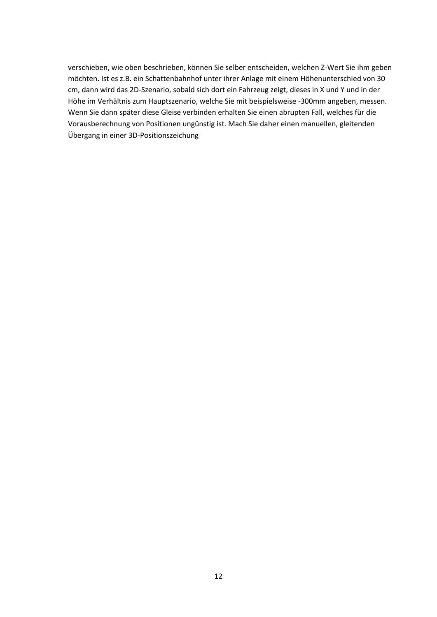verschieben, wie oben beschrieben, können Sie selber entscheiden, welchen Z-Wert Sie ihm geben möchten. Ist es z.B. ein Schattenbahnhof unter ihrer Anlage mit einem Höhenunterschied von 30 cm, dann wird das 2D-Szenario, sobald sich dort ein Fahrzeug zeigt, dieses in X und Y und in der Höhe im Verhältnis zum Hauptszenario, welche Sie mit beispielsweise -300mm angeben, messen. Wenn Sie dann später diese Gleise verbinden erhalten Sie einen abrupten Fall, welches für die Vorausberechnung von Positionen ungünstig ist. Mach Sie daher einen manuellen, gleitenden Übergang in einer 3D-Positionszeichung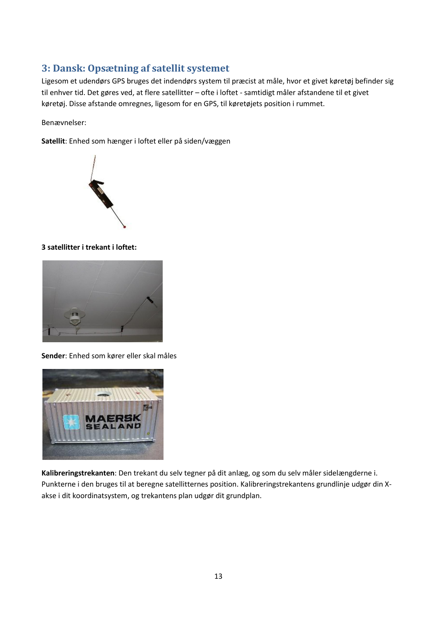# <span id="page-12-0"></span>**3: Dansk: Opsætning af satellit systemet**

Ligesom et udendørs GPS bruges det indendørs system til præcist at måle, hvor et givet køretøj befinder sig til enhver tid. Det gøres ved, at flere satellitter – ofte i loftet - samtidigt måler afstandene til et givet køretøj. Disse afstande omregnes, ligesom for en GPS, til køretøjets position i rummet.

Benævnelser:

**Satellit**: Enhed som hænger i loftet eller på siden/væggen



### **3 satellitter i trekant i loftet:**



**Sender**: Enhed som kører eller skal måles



**Kalibreringstrekanten**: Den trekant du selv tegner på dit anlæg, og som du selv måler sidelængderne i. Punkterne i den bruges til at beregne satellitternes position. Kalibreringstrekantens grundlinje udgør din Xakse i dit koordinatsystem, og trekantens plan udgør dit grundplan.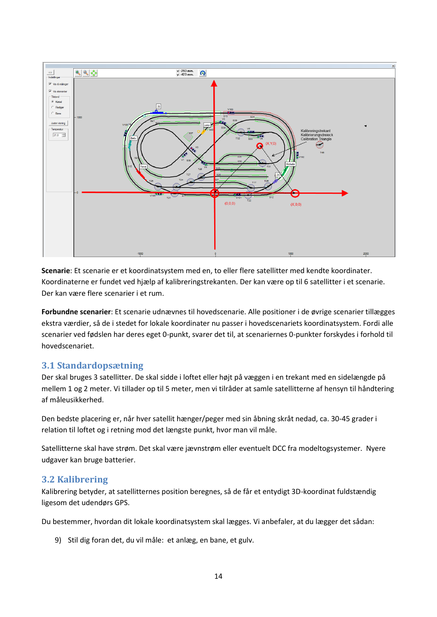

**Scenarie**: Et scenarie er et koordinatsystem med en, to eller flere satellitter med kendte koordinater. Koordinaterne er fundet ved hjælp af kalibreringstrekanten. Der kan være op til 6 satellitter i et scenarie. Der kan være flere scenarier i et rum.

**Forbundne scenarier**: Et scenarie udnævnes til hovedscenarie. Alle positioner i de øvrige scenarier tillægges ekstra værdier, så de i stedet for lokale koordinater nu passer i hovedscenariets koordinatsystem. Fordi alle scenarier ved fødslen har deres eget 0-punkt, svarer det til, at scenariernes 0-punkter forskydes i forhold til hovedscenariet.

# <span id="page-13-0"></span>**3.1 Standardopsætning**

Der skal bruges 3 satellitter. De skal sidde i loftet eller højt på væggen i en trekant med en sidelængde på mellem 1 og 2 meter. Vi tillader op til 5 meter, men vi tilråder at samle satellitterne af hensyn til håndtering af måleusikkerhed.

Den bedste placering er, når hver satellit hænger/peger med sin åbning skråt nedad, ca. 30-45 grader i relation til loftet og i retning mod det længste punkt, hvor man vil måle.

Satellitterne skal have strøm. Det skal være jævnstrøm eller eventuelt DCC fra modeltogsystemer. Nyere udgaver kan bruge batterier.

## <span id="page-13-1"></span>**3.2 Kalibrering**

Kalibrering betyder, at satellitternes position beregnes, så de får et entydigt 3D-koordinat fuldstændig ligesom det udendørs GPS.

Du bestemmer, hvordan dit lokale koordinatsystem skal lægges. Vi anbefaler, at du lægger det sådan:

9) Stil dig foran det, du vil måle: et anlæg, en bane, et gulv.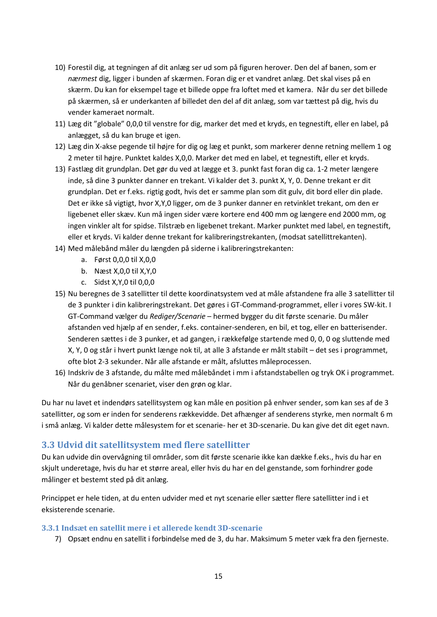- 10) Forestil dig, at tegningen af dit anlæg ser ud som på figuren herover. Den del af banen, som er *nærmest* dig, ligger i bunden af skærmen. Foran dig er et vandret anlæg. Det skal vises på en skærm. Du kan for eksempel tage et billede oppe fra loftet med et kamera. Når du ser det billede på skærmen, så er underkanten af billedet den del af dit anlæg, som var tættest på dig, hvis du vender kameraet normalt.
- 11) Læg dit "globale" 0,0,0 til venstre for dig, marker det med et kryds, en tegnestift, eller en label, på anlægget, så du kan bruge et igen.
- 12) Læg din X-akse pegende til højre for dig og læg et punkt, som markerer denne retning mellem 1 og 2 meter til højre. Punktet kaldes X,0,0. Marker det med en label, et tegnestift, eller et kryds.
- 13) Fastlæg dit grundplan. Det gør du ved at lægge et 3. punkt fast foran dig ca. 1-2 meter længere inde, så dine 3 punkter danner en trekant. Vi kalder det 3. punkt X, Y, 0. Denne trekant er dit grundplan. Det er f.eks. rigtig godt, hvis det er samme plan som dit gulv, dit bord eller din plade. Det er ikke så vigtigt, hvor X,Y,0 ligger, om de 3 punker danner en retvinklet trekant, om den er ligebenet eller skæv. Kun må ingen sider være kortere end 400 mm og længere end 2000 mm, og ingen vinkler alt for spidse. Tilstræb en ligebenet trekant. Marker punktet med label, en tegnestift, eller et kryds. Vi kalder denne trekant for kalibreringstrekanten, (modsat satellittrekanten).
- 14) Med målebånd måler du længden på siderne i kalibreringstrekanten:
	- a. Først 0,0,0 til X,0,0
	- b. Næst X,0,0 til X,Y,0
	- c. Sidst X,Y,0 til 0,0,0
- 15) Nu beregnes de 3 satellitter til dette koordinatsystem ved at måle afstandene fra alle 3 satellitter til de 3 punkter i din kalibreringstrekant. Det gøres i GT-Command-programmet, eller i vores SW-kit. I GT-Command vælger du *Rediger/Scenarie* – hermed bygger du dit første scenarie. Du måler afstanden ved hjælp af en sender, f.eks. container-senderen, en bil, et tog, eller en batterisender. Senderen sættes i de 3 punker, et ad gangen, i rækkefølge startende med 0, 0, 0 og sluttende med X, Y, 0 og står i hvert punkt længe nok til, at alle 3 afstande er målt stabilt – det ses i programmet, ofte blot 2-3 sekunder. Når alle afstande er målt, afsluttes måleprocessen.
- 16) Indskriv de 3 afstande, du målte med målebåndet i mm i afstandstabellen og tryk OK i programmet. Når du genåbner scenariet, viser den grøn og klar.

Du har nu lavet et indendørs satellitsystem og kan måle en position på enhver sender, som kan ses af de 3 satellitter, og som er inden for senderens rækkevidde. Det afhænger af senderens styrke, men normalt 6 m i små anlæg. Vi kalder dette målesystem for et scenarie- her et 3D-scenarie. Du kan give det dit eget navn.

## <span id="page-14-0"></span>**3.3 Udvid dit satellitsystem med flere satellitter**

Du kan udvide din overvågning til områder, som dit første scenarie ikke kan dække f.eks., hvis du har en skjult underetage, hvis du har et større areal, eller hvis du har en del genstande, som forhindrer gode målinger et bestemt sted på dit anlæg.

Princippet er hele tiden, at du enten udvider med et nyt scenarie eller sætter flere satellitter ind i et eksisterende scenarie.

### <span id="page-14-1"></span>**3.3.1 Indsæt en satellit mere i et allerede kendt 3D-scenarie**

7) Opsæt endnu en satellit i forbindelse med de 3, du har. Maksimum 5 meter væk fra den fjerneste.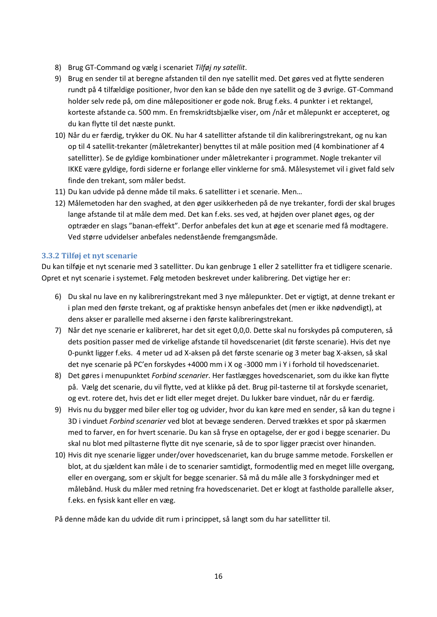- 8) Brug GT-Command og vælg i scenariet *Tilføj ny satellit*.
- 9) Brug en sender til at beregne afstanden til den nye satellit med. Det gøres ved at flytte senderen rundt på 4 tilfældige positioner, hvor den kan se både den nye satellit og de 3 øvrige. GT-Command holder selv rede på, om dine målepositioner er gode nok. Brug f.eks. 4 punkter i et rektangel, korteste afstande ca. 500 mm. En fremskridtsbjælke viser, om /når et målepunkt er accepteret, og du kan flytte til det næste punkt.
- 10) Når du er færdig, trykker du OK. Nu har 4 satellitter afstande til din kalibreringstrekant, og nu kan op til 4 satellit-trekanter (måletrekanter) benyttes til at måle position med (4 kombinationer af 4 satellitter). Se de gyldige kombinationer under måletrekanter i programmet. Nogle trekanter vil IKKE være gyldige, fordi siderne er forlange eller vinklerne for små. Målesystemet vil i givet fald selv finde den trekant, som måler bedst.
- 11) Du kan udvide på denne måde til maks. 6 satellitter i et scenarie. Men…
- 12) Målemetoden har den svaghed, at den øger usikkerheden på de nye trekanter, fordi der skal bruges lange afstande til at måle dem med. Det kan f.eks. ses ved, at højden over planet øges, og der optræder en slags "banan-effekt". Derfor anbefales det kun at øge et scenarie med få modtagere. Ved større udvidelser anbefales nedenstående fremgangsmåde.

### <span id="page-15-0"></span>**3.3.2 Tilføj et nyt scenarie**

Du kan tilføje et nyt scenarie med 3 satellitter. Du kan genbruge 1 eller 2 satellitter fra et tidligere scenarie. Opret et nyt scenarie i systemet. Følg metoden beskrevet under kalibrering. Det vigtige her er:

- 6) Du skal nu lave en ny kalibreringstrekant med 3 nye målepunkter. Det er vigtigt, at denne trekant er i plan med den første trekant, og af praktiske hensyn anbefales det (men er ikke nødvendigt), at dens akser er parallelle med akserne i den første kalibreringstrekant.
- 7) Når det nye scenarie er kalibreret, har det sit eget 0,0,0. Dette skal nu forskydes på computeren, så dets position passer med de virkelige afstande til hovedscenariet (dit første scenarie). Hvis det nye 0-punkt ligger f.eks. 4 meter ud ad X-aksen på det første scenarie og 3 meter bag X-aksen, så skal det nye scenarie på PC'en forskydes +4000 mm i X og -3000 mm i Y i forhold til hovedscenariet.
- 8) Det gøres i menupunktet *Forbind scenarier*. Her fastlægges hovedscenariet, som du ikke kan flytte på. Vælg det scenarie, du vil flytte, ved at klikke på det. Brug pil-tasterne til at forskyde scenariet, og evt. rotere det, hvis det er lidt eller meget drejet. Du lukker bare vinduet, når du er færdig.
- 9) Hvis nu du bygger med biler eller tog og udvider, hvor du kan køre med en sender, så kan du tegne i 3D i vinduet *Forbind scenarier* ved blot at bevæge senderen. Derved trækkes et spor på skærmen med to farver, en for hvert scenarie. Du kan så fryse en optagelse, der er god i begge scenarier. Du skal nu blot med piltasterne flytte dit nye scenarie, så de to spor ligger præcist over hinanden.
- 10) Hvis dit nye scenarie ligger under/over hovedscenariet, kan du bruge samme metode. Forskellen er blot, at du sjældent kan måle i de to scenarier samtidigt, formodentlig med en meget lille overgang, eller en overgang, som er skjult for begge scenarier. Så må du måle alle 3 forskydninger med et målebånd. Husk du måler med retning fra hovedscenariet. Det er klogt at fastholde parallelle akser, f.eks. en fysisk kant eller en væg.

På denne måde kan du udvide dit rum i princippet, så langt som du har satellitter til.